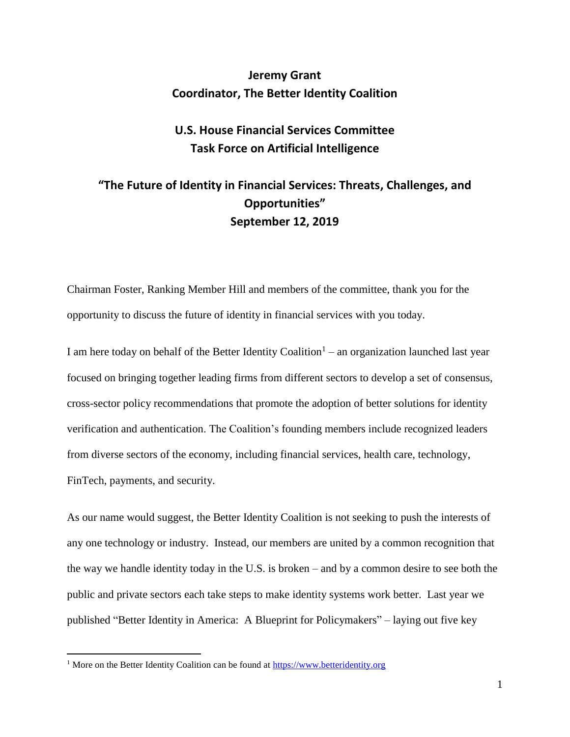## **Jeremy Grant Coordinator, The Better Identity Coalition**

# **U.S. House Financial Services Committee Task Force on Artificial Intelligence**

# **"The Future of Identity in Financial Services: Threats, Challenges, and Opportunities" September 12, 2019**

Chairman Foster, Ranking Member Hill and members of the committee, thank you for the opportunity to discuss the future of identity in financial services with you today.

I am here today on behalf of the Better Identity Coalition<sup>1</sup> – an organization launched last year focused on bringing together leading firms from different sectors to develop a set of consensus, cross-sector policy recommendations that promote the adoption of better solutions for identity verification and authentication. The Coalition's founding members include recognized leaders from diverse sectors of the economy, including financial services, health care, technology, FinTech, payments, and security.

As our name would suggest, the Better Identity Coalition is not seeking to push the interests of any one technology or industry. Instead, our members are united by a common recognition that the way we handle identity today in the U.S. is broken – and by a common desire to see both the public and private sectors each take steps to make identity systems work better. Last year we published "Better Identity in America: A Blueprint for Policymakers" – laying out five key

 $\overline{a}$ 

<sup>&</sup>lt;sup>1</sup> More on the Better Identity Coalition can be found at  $\frac{https://www.betteridentity.org}{https://www.betteridentity.org}$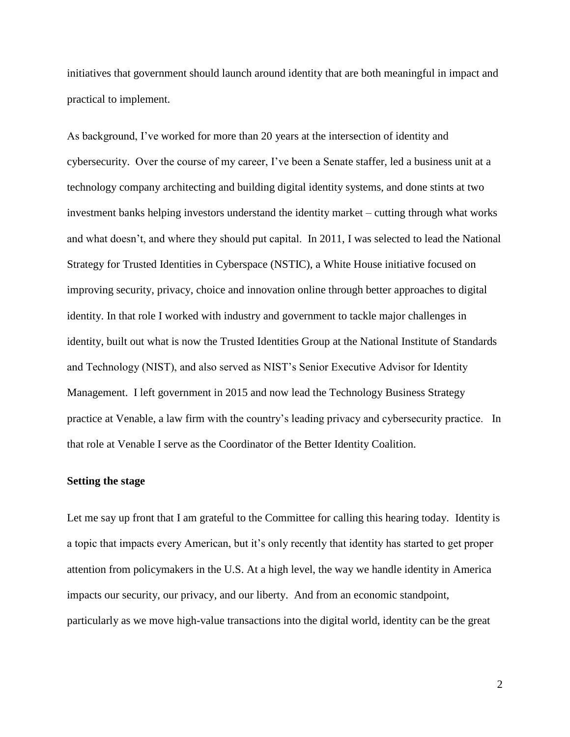initiatives that government should launch around identity that are both meaningful in impact and practical to implement.

As background, I've worked for more than 20 years at the intersection of identity and cybersecurity. Over the course of my career, I've been a Senate staffer, led a business unit at a technology company architecting and building digital identity systems, and done stints at two investment banks helping investors understand the identity market – cutting through what works and what doesn't, and where they should put capital. In 2011, I was selected to lead the National Strategy for Trusted Identities in Cyberspace (NSTIC), a White House initiative focused on improving security, privacy, choice and innovation online through better approaches to digital identity. In that role I worked with industry and government to tackle major challenges in identity, built out what is now the Trusted Identities Group at the National Institute of Standards and Technology (NIST), and also served as NIST's Senior Executive Advisor for Identity Management. I left government in 2015 and now lead the Technology Business Strategy practice at Venable, a law firm with the country's leading privacy and cybersecurity practice. In that role at Venable I serve as the Coordinator of the Better Identity Coalition.

### **Setting the stage**

Let me say up front that I am grateful to the Committee for calling this hearing today. Identity is a topic that impacts every American, but it's only recently that identity has started to get proper attention from policymakers in the U.S. At a high level, the way we handle identity in America impacts our security, our privacy, and our liberty. And from an economic standpoint, particularly as we move high-value transactions into the digital world, identity can be the great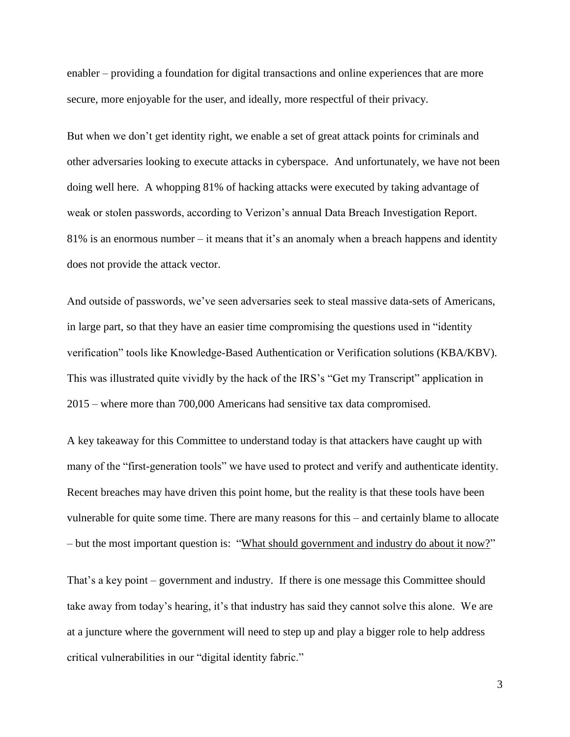enabler – providing a foundation for digital transactions and online experiences that are more secure, more enjoyable for the user, and ideally, more respectful of their privacy.

But when we don't get identity right, we enable a set of great attack points for criminals and other adversaries looking to execute attacks in cyberspace. And unfortunately, we have not been doing well here. A whopping 81% of hacking attacks were executed by taking advantage of weak or stolen passwords, according to Verizon's annual Data Breach Investigation Report. 81% is an enormous number – it means that it's an anomaly when a breach happens and identity does not provide the attack vector.

And outside of passwords, we've seen adversaries seek to steal massive data-sets of Americans, in large part, so that they have an easier time compromising the questions used in "identity verification" tools like Knowledge-Based Authentication or Verification solutions (KBA/KBV). This was illustrated quite vividly by the hack of the IRS's "Get my Transcript" application in 2015 – where more than 700,000 Americans had sensitive tax data compromised.

A key takeaway for this Committee to understand today is that attackers have caught up with many of the "first-generation tools" we have used to protect and verify and authenticate identity. Recent breaches may have driven this point home, but the reality is that these tools have been vulnerable for quite some time. There are many reasons for this – and certainly blame to allocate – but the most important question is: "What should government and industry do about it now?"

That's a key point – government and industry. If there is one message this Committee should take away from today's hearing, it's that industry has said they cannot solve this alone. We are at a juncture where the government will need to step up and play a bigger role to help address critical vulnerabilities in our "digital identity fabric."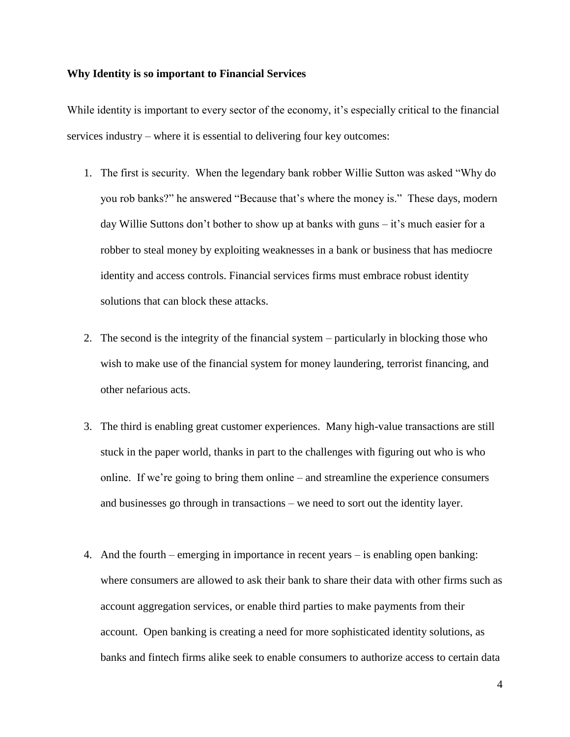#### **Why Identity is so important to Financial Services**

While identity is important to every sector of the economy, it's especially critical to the financial services industry – where it is essential to delivering four key outcomes:

- 1. The first is security. When the legendary bank robber Willie Sutton was asked "Why do you rob banks?" he answered "Because that's where the money is." These days, modern day Willie Suttons don't bother to show up at banks with guns – it's much easier for a robber to steal money by exploiting weaknesses in a bank or business that has mediocre identity and access controls. Financial services firms must embrace robust identity solutions that can block these attacks.
- 2. The second is the integrity of the financial system particularly in blocking those who wish to make use of the financial system for money laundering, terrorist financing, and other nefarious acts.
- 3. The third is enabling great customer experiences. Many high-value transactions are still stuck in the paper world, thanks in part to the challenges with figuring out who is who online. If we're going to bring them online – and streamline the experience consumers and businesses go through in transactions – we need to sort out the identity layer.
- 4. And the fourth emerging in importance in recent years is enabling open banking: where consumers are allowed to ask their bank to share their data with other firms such as account aggregation services, or enable third parties to make payments from their account. Open banking is creating a need for more sophisticated identity solutions, as banks and fintech firms alike seek to enable consumers to authorize access to certain data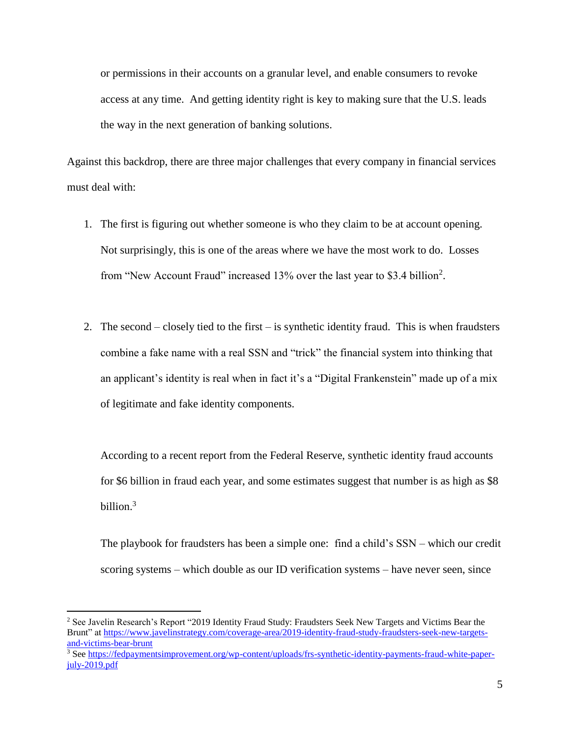or permissions in their accounts on a granular level, and enable consumers to revoke access at any time. And getting identity right is key to making sure that the U.S. leads the way in the next generation of banking solutions.

Against this backdrop, there are three major challenges that every company in financial services must deal with:

- 1. The first is figuring out whether someone is who they claim to be at account opening. Not surprisingly, this is one of the areas where we have the most work to do. Losses from "New Account Fraud" increased 13% over the last year to \$3.4 billion<sup>2</sup>.
- 2. The second closely tied to the first is synthetic identity fraud. This is when fraudsters combine a fake name with a real SSN and "trick" the financial system into thinking that an applicant's identity is real when in fact it's a "Digital Frankenstein" made up of a mix of legitimate and fake identity components.

According to a recent report from the Federal Reserve, synthetic identity fraud accounts for \$6 billion in fraud each year, and some estimates suggest that number is as high as \$8 billion.<sup>3</sup>

The playbook for fraudsters has been a simple one: find a child's SSN – which our credit scoring systems – which double as our ID verification systems – have never seen, since

 $\overline{a}$ 

<sup>2</sup> See Javelin Research's Report "2019 Identity Fraud Study: Fraudsters Seek New Targets and Victims Bear the Brunt" at [https://www.javelinstrategy.com/coverage-area/2019-identity-fraud-study-fraudsters-seek-new-targets](https://www.javelinstrategy.com/coverage-area/2019-identity-fraud-study-fraudsters-seek-new-targets-and-victims-bear-brunt)[and-victims-bear-brunt](https://www.javelinstrategy.com/coverage-area/2019-identity-fraud-study-fraudsters-seek-new-targets-and-victims-bear-brunt)

<sup>3</sup> Se[e https://fedpaymentsimprovement.org/wp-content/uploads/frs-synthetic-identity-payments-fraud-white-paper](https://fedpaymentsimprovement.org/wp-content/uploads/frs-synthetic-identity-payments-fraud-white-paper-july-2019.pdf)[july-2019.pdf](https://fedpaymentsimprovement.org/wp-content/uploads/frs-synthetic-identity-payments-fraud-white-paper-july-2019.pdf)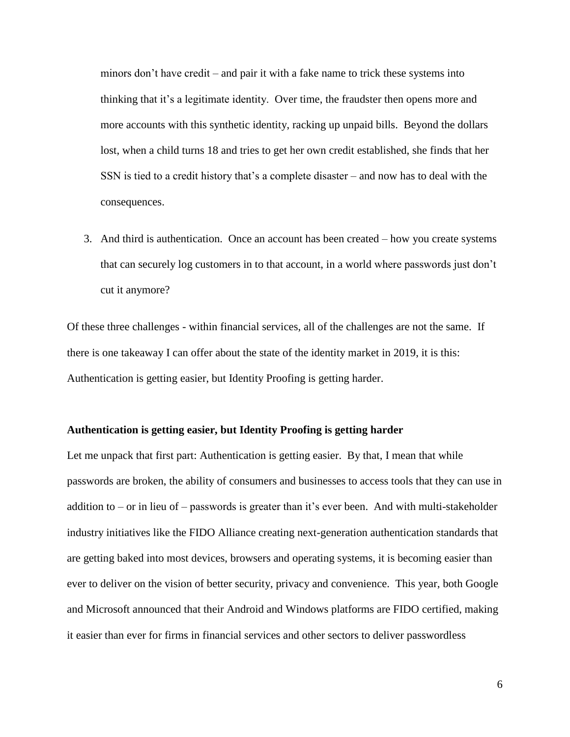minors don't have credit – and pair it with a fake name to trick these systems into thinking that it's a legitimate identity. Over time, the fraudster then opens more and more accounts with this synthetic identity, racking up unpaid bills. Beyond the dollars lost, when a child turns 18 and tries to get her own credit established, she finds that her SSN is tied to a credit history that's a complete disaster – and now has to deal with the consequences.

3. And third is authentication. Once an account has been created – how you create systems that can securely log customers in to that account, in a world where passwords just don't cut it anymore?

Of these three challenges - within financial services, all of the challenges are not the same. If there is one takeaway I can offer about the state of the identity market in 2019, it is this: Authentication is getting easier, but Identity Proofing is getting harder.

### **Authentication is getting easier, but Identity Proofing is getting harder**

Let me unpack that first part: Authentication is getting easier. By that, I mean that while passwords are broken, the ability of consumers and businesses to access tools that they can use in addition to – or in lieu of – passwords is greater than it's ever been. And with multi-stakeholder industry initiatives like the FIDO Alliance creating next-generation authentication standards that are getting baked into most devices, browsers and operating systems, it is becoming easier than ever to deliver on the vision of better security, privacy and convenience. This year, both Google and Microsoft announced that their Android and Windows platforms are FIDO certified, making it easier than ever for firms in financial services and other sectors to deliver passwordless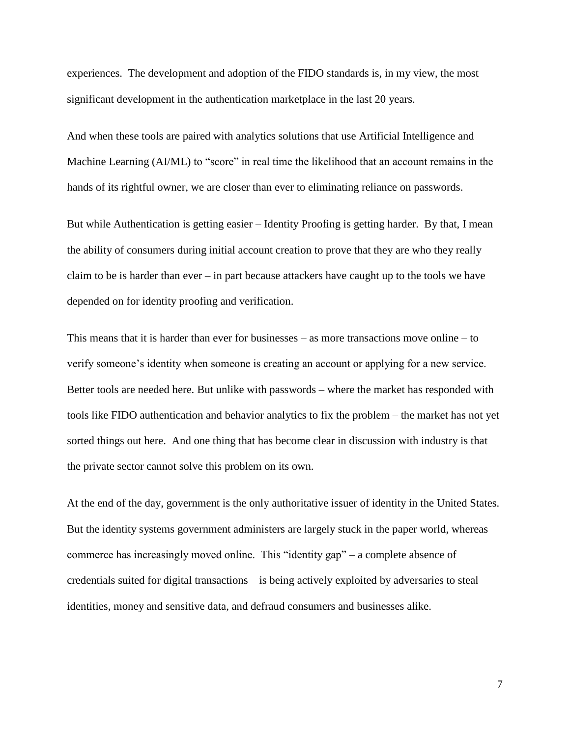experiences. The development and adoption of the FIDO standards is, in my view, the most significant development in the authentication marketplace in the last 20 years.

And when these tools are paired with analytics solutions that use Artificial Intelligence and Machine Learning (AI/ML) to "score" in real time the likelihood that an account remains in the hands of its rightful owner, we are closer than ever to eliminating reliance on passwords.

But while Authentication is getting easier – Identity Proofing is getting harder. By that, I mean the ability of consumers during initial account creation to prove that they are who they really claim to be is harder than ever – in part because attackers have caught up to the tools we have depended on for identity proofing and verification.

This means that it is harder than ever for businesses – as more transactions move online – to verify someone's identity when someone is creating an account or applying for a new service. Better tools are needed here. But unlike with passwords – where the market has responded with tools like FIDO authentication and behavior analytics to fix the problem – the market has not yet sorted things out here. And one thing that has become clear in discussion with industry is that the private sector cannot solve this problem on its own.

At the end of the day, government is the only authoritative issuer of identity in the United States. But the identity systems government administers are largely stuck in the paper world, whereas commerce has increasingly moved online. This "identity gap" – a complete absence of credentials suited for digital transactions – is being actively exploited by adversaries to steal identities, money and sensitive data, and defraud consumers and businesses alike.

7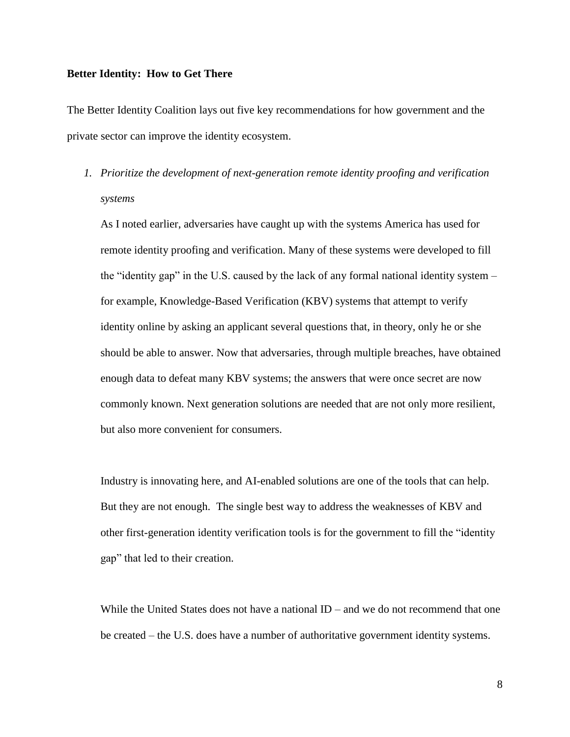#### **Better Identity: How to Get There**

The Better Identity Coalition lays out five key recommendations for how government and the private sector can improve the identity ecosystem.

*1. Prioritize the development of next-generation remote identity proofing and verification systems*

As I noted earlier, adversaries have caught up with the systems America has used for remote identity proofing and verification. Many of these systems were developed to fill the "identity gap" in the U.S. caused by the lack of any formal national identity system – for example, Knowledge-Based Verification (KBV) systems that attempt to verify identity online by asking an applicant several questions that, in theory, only he or she should be able to answer. Now that adversaries, through multiple breaches, have obtained enough data to defeat many KBV systems; the answers that were once secret are now commonly known. Next generation solutions are needed that are not only more resilient, but also more convenient for consumers.

Industry is innovating here, and AI-enabled solutions are one of the tools that can help. But they are not enough. The single best way to address the weaknesses of KBV and other first-generation identity verification tools is for the government to fill the "identity gap" that led to their creation.

While the United States does not have a national  $ID -$  and we do not recommend that one be created – the U.S. does have a number of authoritative government identity systems.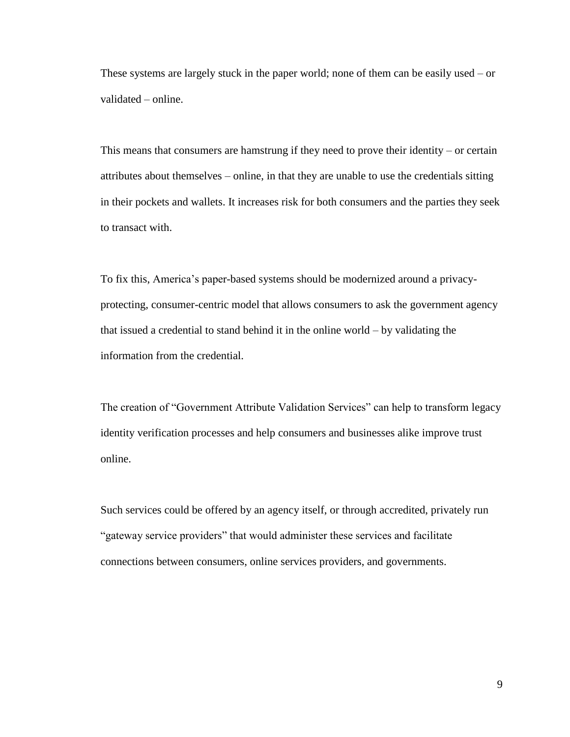These systems are largely stuck in the paper world; none of them can be easily used – or validated – online.

This means that consumers are hamstrung if they need to prove their identity – or certain attributes about themselves – online, in that they are unable to use the credentials sitting in their pockets and wallets. It increases risk for both consumers and the parties they seek to transact with.

To fix this, America's paper-based systems should be modernized around a privacyprotecting, consumer-centric model that allows consumers to ask the government agency that issued a credential to stand behind it in the online world – by validating the information from the credential.

The creation of "Government Attribute Validation Services" can help to transform legacy identity verification processes and help consumers and businesses alike improve trust online.

Such services could be offered by an agency itself, or through accredited, privately run "gateway service providers" that would administer these services and facilitate connections between consumers, online services providers, and governments.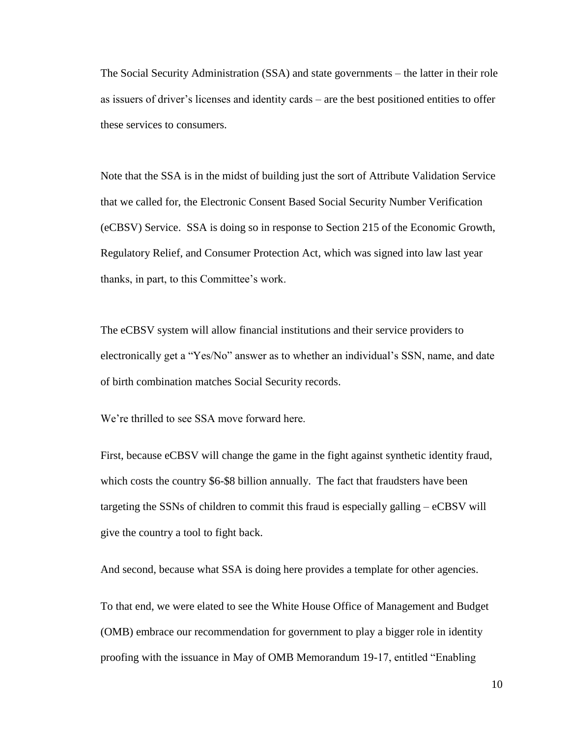The Social Security Administration (SSA) and state governments – the latter in their role as issuers of driver's licenses and identity cards – are the best positioned entities to offer these services to consumers.

Note that the SSA is in the midst of building just the sort of Attribute Validation Service that we called for, the Electronic Consent Based Social Security Number Verification (eCBSV) Service. SSA is doing so in response to Section 215 of the Economic Growth, Regulatory Relief, and Consumer Protection Act, which was signed into law last year thanks, in part, to this Committee's work.

The eCBSV system will allow financial institutions and their service providers to electronically get a "Yes/No" answer as to whether an individual's SSN, name, and date of birth combination matches Social Security records.

We're thrilled to see SSA move forward here.

First, because eCBSV will change the game in the fight against synthetic identity fraud, which costs the country \$6-\$8 billion annually. The fact that fraudsters have been targeting the SSNs of children to commit this fraud is especially galling – eCBSV will give the country a tool to fight back.

And second, because what SSA is doing here provides a template for other agencies.

To that end, we were elated to see the White House Office of Management and Budget (OMB) embrace our recommendation for government to play a bigger role in identity proofing with the issuance in May of OMB Memorandum 19-17, entitled "Enabling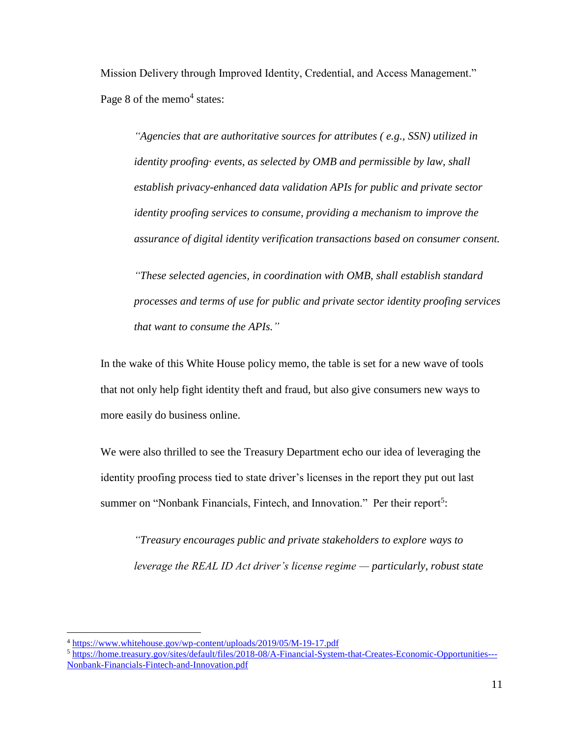Mission Delivery through Improved Identity, Credential, and Access Management." Page 8 of the memo<sup>4</sup> states:

*"Agencies that are authoritative sources for attributes ( e.g., SSN) utilized in identity proofing· events, as selected by OMB and permissible by law, shall establish privacy-enhanced data validation APIs for public and private sector identity proofing services to consume, providing a mechanism to improve the assurance of digital identity verification transactions based on consumer consent.* 

*"These selected agencies, in coordination with OMB, shall establish standard processes and terms of use for public and private sector identity proofing services that want to consume the APIs."*

In the wake of this White House policy memo, the table is set for a new wave of tools that not only help fight identity theft and fraud, but also give consumers new ways to more easily do business online.

We were also thrilled to see the Treasury Department echo our idea of leveraging the identity proofing process tied to state driver's licenses in the report they put out last summer on "Nonbank Financials, Fintech, and Innovation." Per their report<sup>5</sup>:

*"Treasury encourages public and private stakeholders to explore ways to leverage the REAL ID Act driver's license regime — particularly, robust state* 

 $\overline{a}$ 

<sup>4</sup> <https://www.whitehouse.gov/wp-content/uploads/2019/05/M-19-17.pdf>

<sup>5</sup> [https://home.treasury.gov/sites/default/files/2018-08/A-Financial-System-that-Creates-Economic-Opportunities---](https://home.treasury.gov/sites/default/files/2018-08/A-Financial-System-that-Creates-Economic-Opportunities---Nonbank-Financials-Fintech-and-Innovation.pdf) [Nonbank-Financials-Fintech-and-Innovation.pdf](https://home.treasury.gov/sites/default/files/2018-08/A-Financial-System-that-Creates-Economic-Opportunities---Nonbank-Financials-Fintech-and-Innovation.pdf)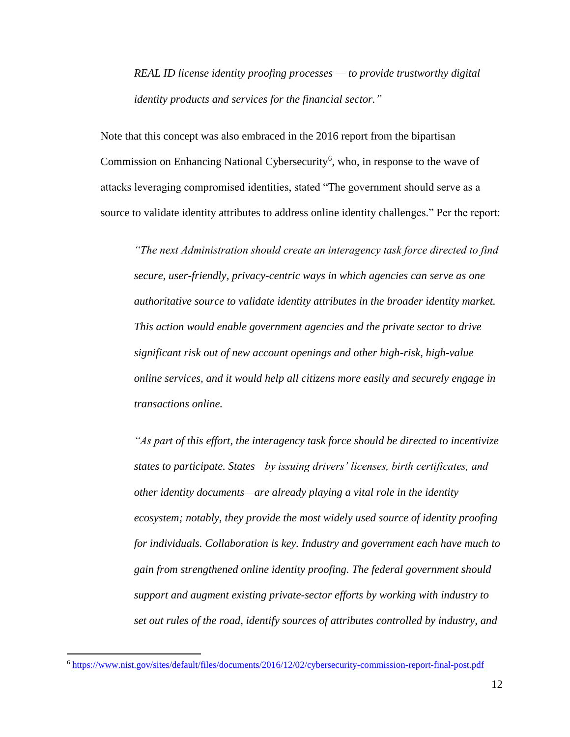*REAL ID license identity proofing processes — to provide trustworthy digital identity products and services for the financial sector."*

Note that this concept was also embraced in the 2016 report from the bipartisan Commission on Enhancing National Cybersecurity<sup>6</sup>, who, in response to the wave of attacks leveraging compromised identities, stated "The government should serve as a source to validate identity attributes to address online identity challenges." Per the report:

*"The next Administration should create an interagency task force directed to find secure, user-friendly, privacy-centric ways in which agencies can serve as one authoritative source to validate identity attributes in the broader identity market. This action would enable government agencies and the private sector to drive significant risk out of new account openings and other high-risk, high-value online services, and it would help all citizens more easily and securely engage in transactions online.* 

*"As part of this effort, the interagency task force should be directed to incentivize states to participate. States—by issuing drivers' licenses, birth certificates, and other identity documents—are already playing a vital role in the identity ecosystem; notably, they provide the most widely used source of identity proofing for individuals. Collaboration is key. Industry and government each have much to gain from strengthened online identity proofing. The federal government should support and augment existing private-sector efforts by working with industry to set out rules of the road, identify sources of attributes controlled by industry, and* 

 $\overline{a}$ 

<sup>6</sup> <https://www.nist.gov/sites/default/files/documents/2016/12/02/cybersecurity-commission-report-final-post.pdf>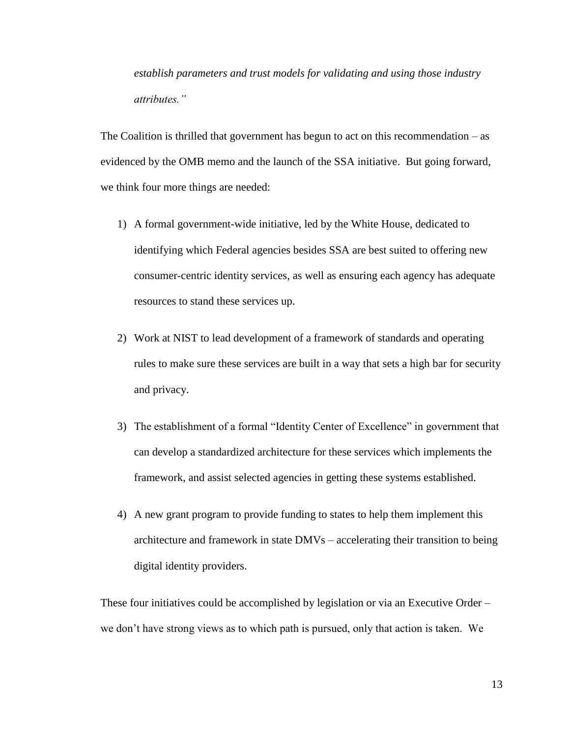*establish parameters and trust models for validating and using those industry attributes."*

The Coalition is thrilled that government has begun to act on this recommendation – as evidenced by the OMB memo and the launch of the SSA initiative. But going forward, we think four more things are needed:

- 1) A formal government-wide initiative, led by the White House, dedicated to identifying which Federal agencies besides SSA are best suited to offering new consumer-centric identity services, as well as ensuring each agency has adequate resources to stand these services up.
- 2) Work at NIST to lead development of a framework of standards and operating rules to make sure these services are built in a way that sets a high bar for security and privacy.
- 3) The establishment of a formal "Identity Center of Excellence" in government that can develop a standardized architecture for these services which implements the framework, and assist selected agencies in getting these systems established.
- 4) A new grant program to provide funding to states to help them implement this architecture and framework in state DMVs – accelerating their transition to being digital identity providers.

These four initiatives could be accomplished by legislation or via an Executive Order – we don't have strong views as to which path is pursued, only that action is taken. We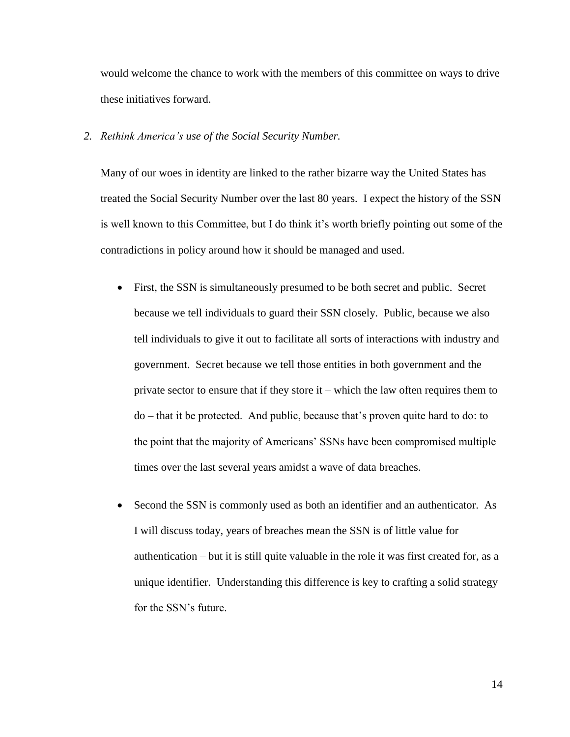would welcome the chance to work with the members of this committee on ways to drive these initiatives forward.

*2. Rethink America's use of the Social Security Number.* 

Many of our woes in identity are linked to the rather bizarre way the United States has treated the Social Security Number over the last 80 years. I expect the history of the SSN is well known to this Committee, but I do think it's worth briefly pointing out some of the contradictions in policy around how it should be managed and used.

- First, the SSN is simultaneously presumed to be both secret and public. Secret because we tell individuals to guard their SSN closely. Public, because we also tell individuals to give it out to facilitate all sorts of interactions with industry and government. Secret because we tell those entities in both government and the private sector to ensure that if they store it – which the law often requires them to do – that it be protected. And public, because that's proven quite hard to do: to the point that the majority of Americans' SSNs have been compromised multiple times over the last several years amidst a wave of data breaches.
- Second the SSN is commonly used as both an identifier and an authenticator. As I will discuss today, years of breaches mean the SSN is of little value for authentication – but it is still quite valuable in the role it was first created for, as a unique identifier. Understanding this difference is key to crafting a solid strategy for the SSN's future.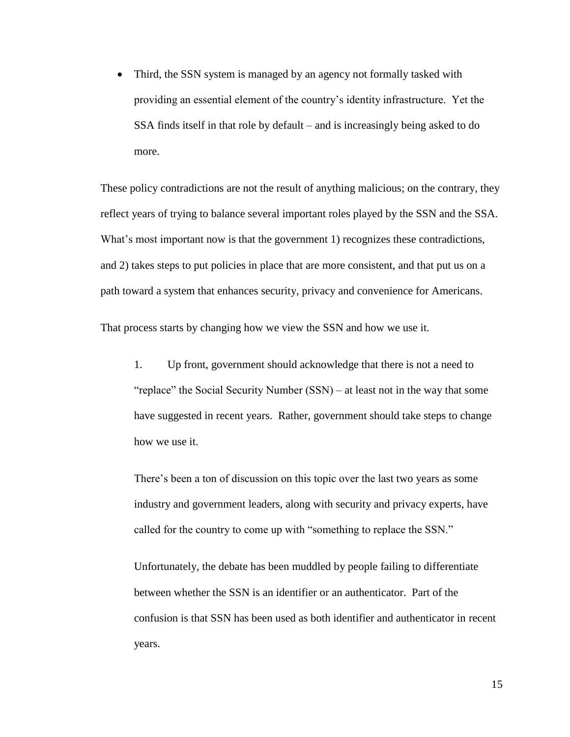• Third, the SSN system is managed by an agency not formally tasked with providing an essential element of the country's identity infrastructure. Yet the SSA finds itself in that role by default – and is increasingly being asked to do more.

These policy contradictions are not the result of anything malicious; on the contrary, they reflect years of trying to balance several important roles played by the SSN and the SSA. What's most important now is that the government 1) recognizes these contradictions, and 2) takes steps to put policies in place that are more consistent, and that put us on a path toward a system that enhances security, privacy and convenience for Americans.

That process starts by changing how we view the SSN and how we use it.

1. Up front, government should acknowledge that there is not a need to "replace" the Social Security Number (SSN) – at least not in the way that some have suggested in recent years. Rather, government should take steps to change how we use it.

There's been a ton of discussion on this topic over the last two years as some industry and government leaders, along with security and privacy experts, have called for the country to come up with "something to replace the SSN."

Unfortunately, the debate has been muddled by people failing to differentiate between whether the SSN is an identifier or an authenticator. Part of the confusion is that SSN has been used as both identifier and authenticator in recent years.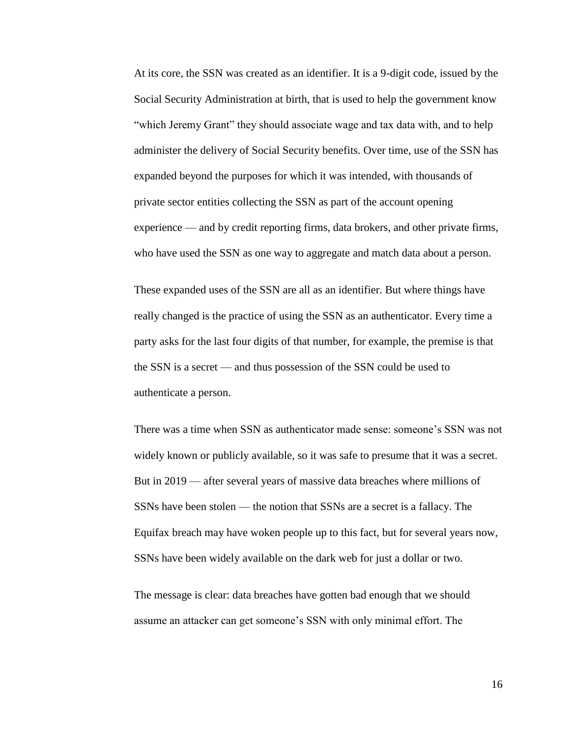At its core, the SSN was created as an identifier. It is a 9-digit code, issued by the Social Security Administration at birth, that is used to help the government know "which Jeremy Grant" they should associate wage and tax data with, and to help administer the delivery of Social Security benefits. Over time, use of the SSN has expanded beyond the purposes for which it was intended, with thousands of private sector entities collecting the SSN as part of the account opening experience — and by credit reporting firms, data brokers, and other private firms, who have used the SSN as one way to aggregate and match data about a person.

These expanded uses of the SSN are all as an identifier. But where things have really changed is the practice of using the SSN as an authenticator. Every time a party asks for the last four digits of that number, for example, the premise is that the SSN is a secret — and thus possession of the SSN could be used to authenticate a person.

There was a time when SSN as authenticator made sense: someone's SSN was not widely known or publicly available, so it was safe to presume that it was a secret. But in 2019 — after several years of massive data breaches where millions of SSNs have been stolen — the notion that SSNs are a secret is a fallacy. The Equifax breach may have woken people up to this fact, but for several years now, SSNs have been widely available on the dark web for just a dollar or two.

The message is clear: data breaches have gotten bad enough that we should assume an attacker can get someone's SSN with only minimal effort. The

16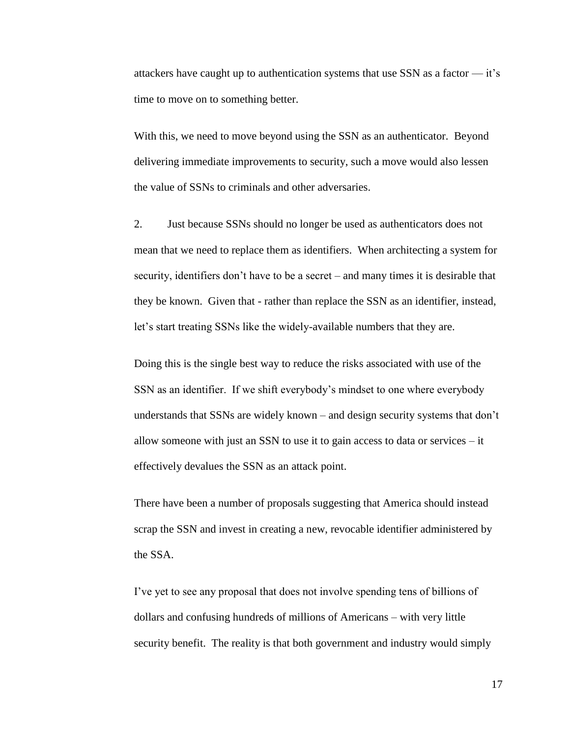attackers have caught up to authentication systems that use SSN as a factor — it's time to move on to something better.

With this, we need to move beyond using the SSN as an authenticator. Beyond delivering immediate improvements to security, such a move would also lessen the value of SSNs to criminals and other adversaries.

2. Just because SSNs should no longer be used as authenticators does not mean that we need to replace them as identifiers. When architecting a system for security, identifiers don't have to be a secret – and many times it is desirable that they be known. Given that - rather than replace the SSN as an identifier, instead, let's start treating SSNs like the widely-available numbers that they are.

Doing this is the single best way to reduce the risks associated with use of the SSN as an identifier. If we shift everybody's mindset to one where everybody understands that SSNs are widely known – and design security systems that don't allow someone with just an SSN to use it to gain access to data or services – it effectively devalues the SSN as an attack point.

There have been a number of proposals suggesting that America should instead scrap the SSN and invest in creating a new, revocable identifier administered by the SSA.

I've yet to see any proposal that does not involve spending tens of billions of dollars and confusing hundreds of millions of Americans – with very little security benefit. The reality is that both government and industry would simply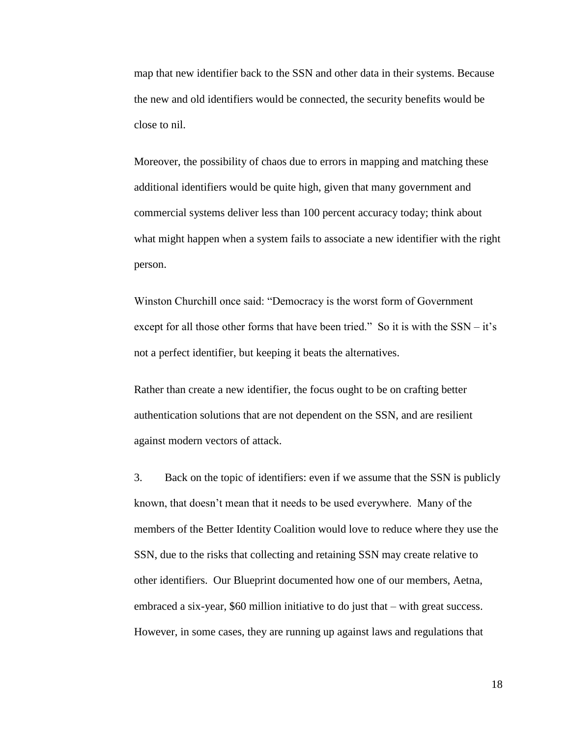map that new identifier back to the SSN and other data in their systems. Because the new and old identifiers would be connected, the security benefits would be close to nil.

Moreover, the possibility of chaos due to errors in mapping and matching these additional identifiers would be quite high, given that many government and commercial systems deliver less than 100 percent accuracy today; think about what might happen when a system fails to associate a new identifier with the right person.

Winston Churchill once said: "Democracy is the worst form of Government except for all those other forms that have been tried." So it is with the SSN – it's not a perfect identifier, but keeping it beats the alternatives.

Rather than create a new identifier, the focus ought to be on crafting better authentication solutions that are not dependent on the SSN, and are resilient against modern vectors of attack.

3. Back on the topic of identifiers: even if we assume that the SSN is publicly known, that doesn't mean that it needs to be used everywhere. Many of the members of the Better Identity Coalition would love to reduce where they use the SSN, due to the risks that collecting and retaining SSN may create relative to other identifiers. Our Blueprint documented how one of our members, Aetna, embraced a six-year, \$60 million initiative to do just that – with great success. However, in some cases, they are running up against laws and regulations that

18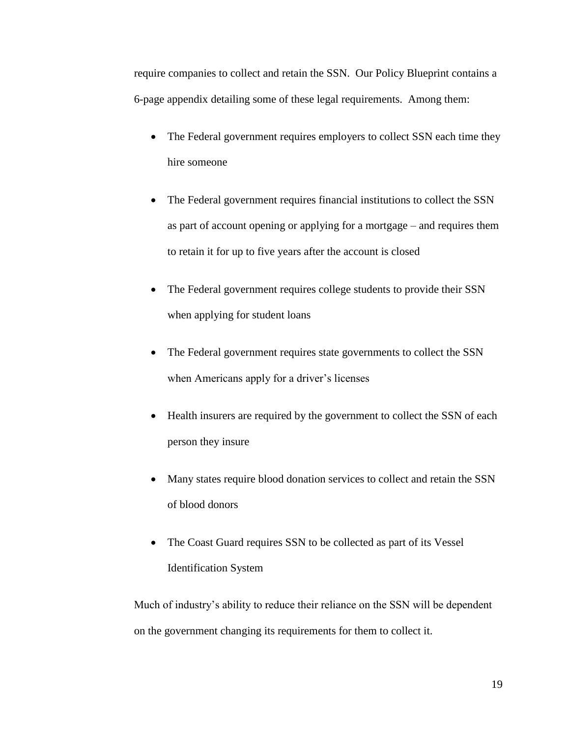require companies to collect and retain the SSN. Our Policy Blueprint contains a 6-page appendix detailing some of these legal requirements. Among them:

- The Federal government requires employers to collect SSN each time they hire someone
- The Federal government requires financial institutions to collect the SSN as part of account opening or applying for a mortgage – and requires them to retain it for up to five years after the account is closed
- The Federal government requires college students to provide their SSN when applying for student loans
- The Federal government requires state governments to collect the SSN when Americans apply for a driver's licenses
- Health insurers are required by the government to collect the SSN of each person they insure
- Many states require blood donation services to collect and retain the SSN of blood donors
- The Coast Guard requires SSN to be collected as part of its Vessel Identification System

Much of industry's ability to reduce their reliance on the SSN will be dependent on the government changing its requirements for them to collect it.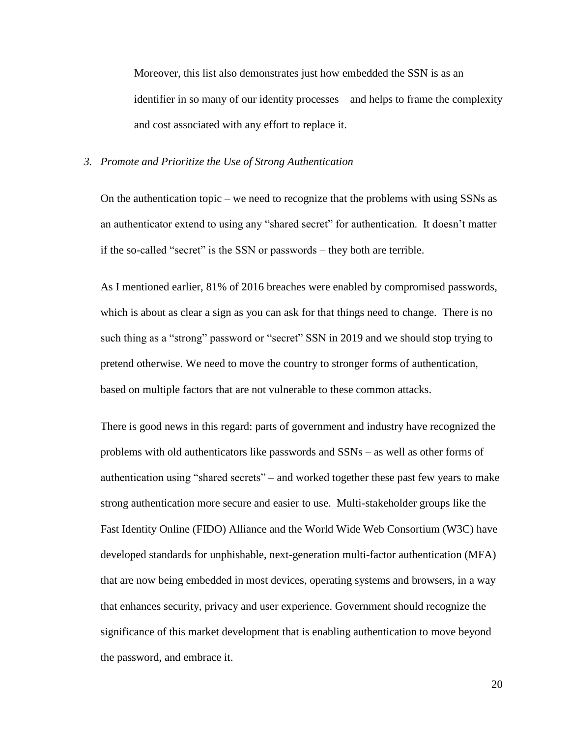Moreover, this list also demonstrates just how embedded the SSN is as an identifier in so many of our identity processes – and helps to frame the complexity and cost associated with any effort to replace it.

#### *3. Promote and Prioritize the Use of Strong Authentication*

On the authentication topic – we need to recognize that the problems with using SSNs as an authenticator extend to using any "shared secret" for authentication. It doesn't matter if the so-called "secret" is the SSN or passwords – they both are terrible.

As I mentioned earlier, 81% of 2016 breaches were enabled by compromised passwords, which is about as clear a sign as you can ask for that things need to change. There is no such thing as a "strong" password or "secret" SSN in 2019 and we should stop trying to pretend otherwise. We need to move the country to stronger forms of authentication, based on multiple factors that are not vulnerable to these common attacks.

There is good news in this regard: parts of government and industry have recognized the problems with old authenticators like passwords and SSNs – as well as other forms of authentication using "shared secrets" – and worked together these past few years to make strong authentication more secure and easier to use. Multi-stakeholder groups like the Fast Identity Online (FIDO) Alliance and the World Wide Web Consortium (W3C) have developed standards for unphishable, next-generation multi-factor authentication (MFA) that are now being embedded in most devices, operating systems and browsers, in a way that enhances security, privacy and user experience. Government should recognize the significance of this market development that is enabling authentication to move beyond the password, and embrace it.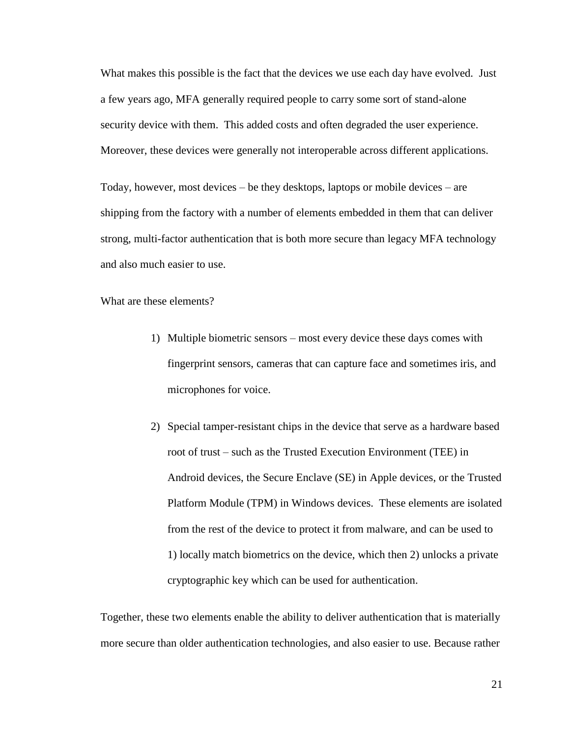What makes this possible is the fact that the devices we use each day have evolved. Just a few years ago, MFA generally required people to carry some sort of stand-alone security device with them. This added costs and often degraded the user experience. Moreover, these devices were generally not interoperable across different applications.

Today, however, most devices – be they desktops, laptops or mobile devices – are shipping from the factory with a number of elements embedded in them that can deliver strong, multi-factor authentication that is both more secure than legacy MFA technology and also much easier to use.

What are these elements?

- 1) Multiple biometric sensors most every device these days comes with fingerprint sensors, cameras that can capture face and sometimes iris, and microphones for voice.
- 2) Special tamper-resistant chips in the device that serve as a hardware based root of trust – such as the Trusted Execution Environment (TEE) in Android devices, the Secure Enclave (SE) in Apple devices, or the Trusted Platform Module (TPM) in Windows devices. These elements are isolated from the rest of the device to protect it from malware, and can be used to 1) locally match biometrics on the device, which then 2) unlocks a private cryptographic key which can be used for authentication.

Together, these two elements enable the ability to deliver authentication that is materially more secure than older authentication technologies, and also easier to use. Because rather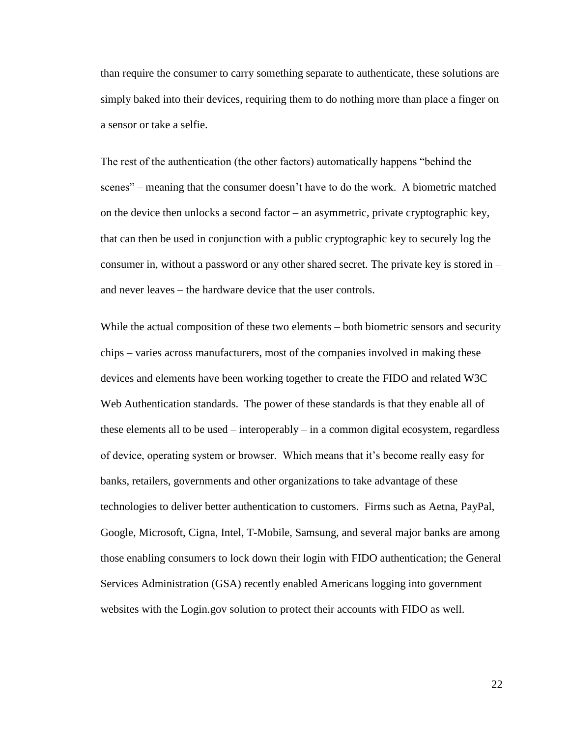than require the consumer to carry something separate to authenticate, these solutions are simply baked into their devices, requiring them to do nothing more than place a finger on a sensor or take a selfie.

The rest of the authentication (the other factors) automatically happens "behind the scenes" – meaning that the consumer doesn't have to do the work. A biometric matched on the device then unlocks a second factor – an asymmetric, private cryptographic key, that can then be used in conjunction with a public cryptographic key to securely log the consumer in, without a password or any other shared secret. The private key is stored in – and never leaves – the hardware device that the user controls.

While the actual composition of these two elements – both biometric sensors and security chips – varies across manufacturers, most of the companies involved in making these devices and elements have been working together to create the FIDO and related W3C Web Authentication standards. The power of these standards is that they enable all of these elements all to be used – interoperably – in a common digital ecosystem, regardless of device, operating system or browser. Which means that it's become really easy for banks, retailers, governments and other organizations to take advantage of these technologies to deliver better authentication to customers. Firms such as Aetna, PayPal, Google, Microsoft, Cigna, Intel, T-Mobile, Samsung, and several major banks are among those enabling consumers to lock down their login with FIDO authentication; the General Services Administration (GSA) recently enabled Americans logging into government websites with the Login.gov solution to protect their accounts with FIDO as well.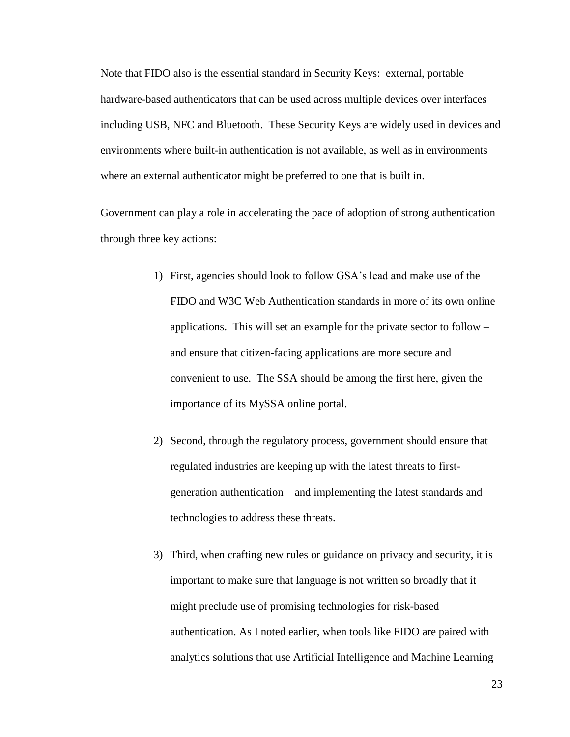Note that FIDO also is the essential standard in Security Keys: external, portable hardware-based authenticators that can be used across multiple devices over interfaces including USB, NFC and Bluetooth. These Security Keys are widely used in devices and environments where built-in authentication is not available, as well as in environments where an external authenticator might be preferred to one that is built in.

Government can play a role in accelerating the pace of adoption of strong authentication through three key actions:

- 1) First, agencies should look to follow GSA's lead and make use of the FIDO and W3C Web Authentication standards in more of its own online applications. This will set an example for the private sector to follow – and ensure that citizen-facing applications are more secure and convenient to use. The SSA should be among the first here, given the importance of its MySSA online portal.
- 2) Second, through the regulatory process, government should ensure that regulated industries are keeping up with the latest threats to firstgeneration authentication – and implementing the latest standards and technologies to address these threats.
- 3) Third, when crafting new rules or guidance on privacy and security, it is important to make sure that language is not written so broadly that it might preclude use of promising technologies for risk-based authentication. As I noted earlier, when tools like FIDO are paired with analytics solutions that use Artificial Intelligence and Machine Learning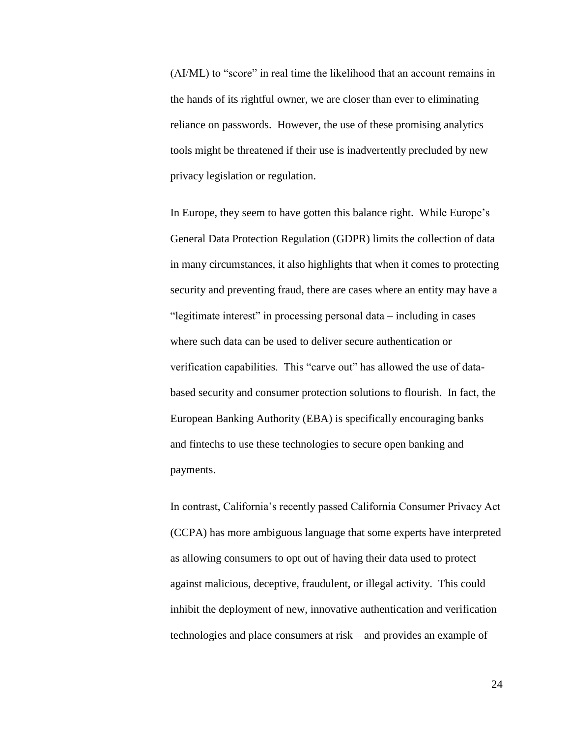(AI/ML) to "score" in real time the likelihood that an account remains in the hands of its rightful owner, we are closer than ever to eliminating reliance on passwords. However, the use of these promising analytics tools might be threatened if their use is inadvertently precluded by new privacy legislation or regulation.

In Europe, they seem to have gotten this balance right. While Europe's General Data Protection Regulation (GDPR) limits the collection of data in many circumstances, it also highlights that when it comes to protecting security and preventing fraud, there are cases where an entity may have a "legitimate interest" in processing personal data – including in cases where such data can be used to deliver secure authentication or verification capabilities. This "carve out" has allowed the use of databased security and consumer protection solutions to flourish. In fact, the European Banking Authority (EBA) is specifically encouraging banks and fintechs to use these technologies to secure open banking and payments.

In contrast, California's recently passed California Consumer Privacy Act (CCPA) has more ambiguous language that some experts have interpreted as allowing consumers to opt out of having their data used to protect against malicious, deceptive, fraudulent, or illegal activity. This could inhibit the deployment of new, innovative authentication and verification technologies and place consumers at risk – and provides an example of

24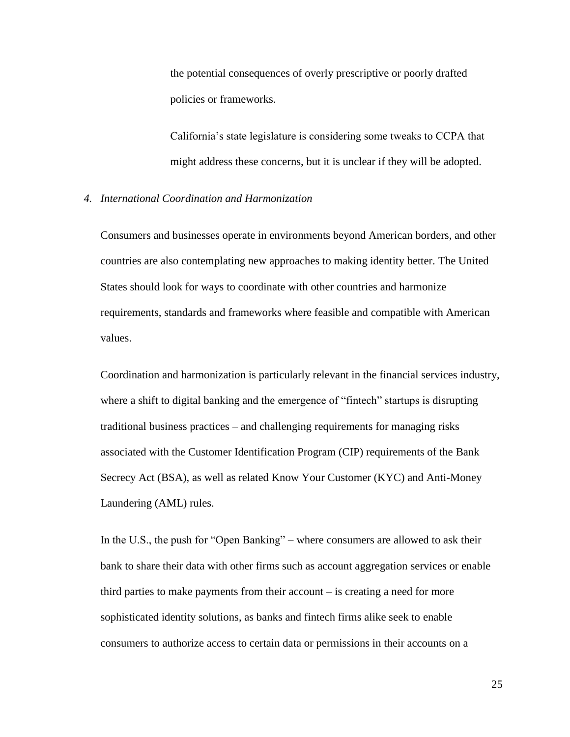the potential consequences of overly prescriptive or poorly drafted policies or frameworks.

California's state legislature is considering some tweaks to CCPA that might address these concerns, but it is unclear if they will be adopted.

#### *4. International Coordination and Harmonization*

Consumers and businesses operate in environments beyond American borders, and other countries are also contemplating new approaches to making identity better. The United States should look for ways to coordinate with other countries and harmonize requirements, standards and frameworks where feasible and compatible with American values.

Coordination and harmonization is particularly relevant in the financial services industry, where a shift to digital banking and the emergence of "fintech" startups is disrupting traditional business practices – and challenging requirements for managing risks associated with the Customer Identification Program (CIP) requirements of the Bank Secrecy Act (BSA), as well as related Know Your Customer (KYC) and Anti-Money Laundering (AML) rules.

In the U.S., the push for "Open Banking" – where consumers are allowed to ask their bank to share their data with other firms such as account aggregation services or enable third parties to make payments from their account – is creating a need for more sophisticated identity solutions, as banks and fintech firms alike seek to enable consumers to authorize access to certain data or permissions in their accounts on a

25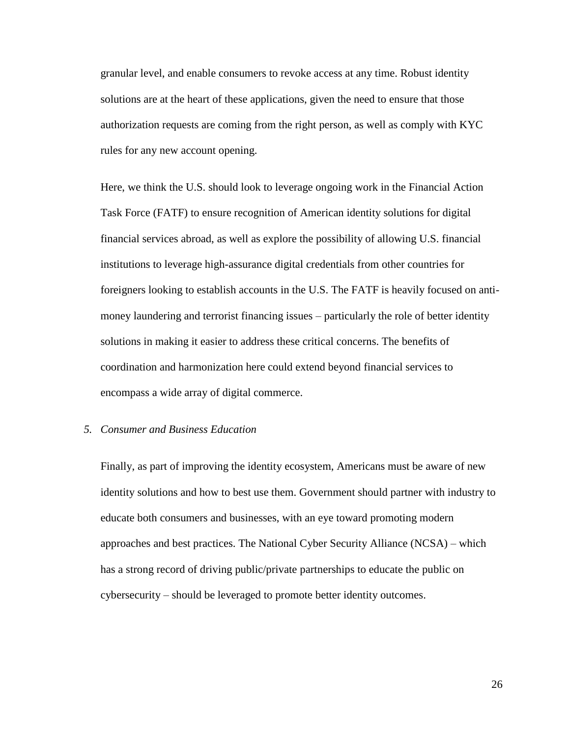granular level, and enable consumers to revoke access at any time. Robust identity solutions are at the heart of these applications, given the need to ensure that those authorization requests are coming from the right person, as well as comply with KYC rules for any new account opening.

Here, we think the U.S. should look to leverage ongoing work in the Financial Action Task Force (FATF) to ensure recognition of American identity solutions for digital financial services abroad, as well as explore the possibility of allowing U.S. financial institutions to leverage high-assurance digital credentials from other countries for foreigners looking to establish accounts in the U.S. The FATF is heavily focused on antimoney laundering and terrorist financing issues – particularly the role of better identity solutions in making it easier to address these critical concerns. The benefits of coordination and harmonization here could extend beyond financial services to encompass a wide array of digital commerce.

### *5. Consumer and Business Education*

Finally, as part of improving the identity ecosystem, Americans must be aware of new identity solutions and how to best use them. Government should partner with industry to educate both consumers and businesses, with an eye toward promoting modern approaches and best practices. The National Cyber Security Alliance (NCSA) – which has a strong record of driving public/private partnerships to educate the public on cybersecurity – should be leveraged to promote better identity outcomes.